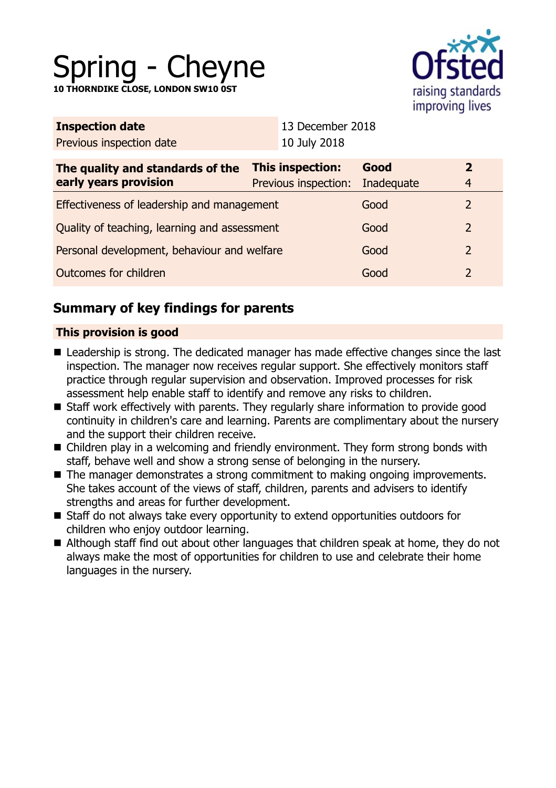# Spring - Cheyne

**10 THORNDIKE CLOSE, LONDON SW10 0ST**



| <b>Inspection date</b>                                    | 13 December 2018                                |                    |                                |
|-----------------------------------------------------------|-------------------------------------------------|--------------------|--------------------------------|
| Previous inspection date                                  | 10 July 2018                                    |                    |                                |
| The quality and standards of the<br>early years provision | <b>This inspection:</b><br>Previous inspection: | Good<br>Inadequate | $\mathbf{2}$<br>$\overline{4}$ |
| Effectiveness of leadership and management                |                                                 | Good               | 2                              |
| Quality of teaching, learning and assessment              |                                                 | Good               | 2                              |
| Personal development, behaviour and welfare               |                                                 | Good               | 2                              |
| Outcomes for children                                     |                                                 | Good               | 2                              |
|                                                           |                                                 |                    |                                |

# **Summary of key findings for parents**

## **This provision is good**

- Leadership is strong. The dedicated manager has made effective changes since the last inspection. The manager now receives regular support. She effectively monitors staff practice through regular supervision and observation. Improved processes for risk assessment help enable staff to identify and remove any risks to children.
- Staff work effectively with parents. They regularly share information to provide good continuity in children's care and learning. Parents are complimentary about the nursery and the support their children receive.
- $\blacksquare$  Children play in a welcoming and friendly environment. They form strong bonds with staff, behave well and show a strong sense of belonging in the nursery.
- $\blacksquare$  The manager demonstrates a strong commitment to making ongoing improvements. She takes account of the views of staff, children, parents and advisers to identify strengths and areas for further development.
- Staff do not always take every opportunity to extend opportunities outdoors for children who enjoy outdoor learning.
- Although staff find out about other languages that children speak at home, they do not always make the most of opportunities for children to use and celebrate their home languages in the nursery.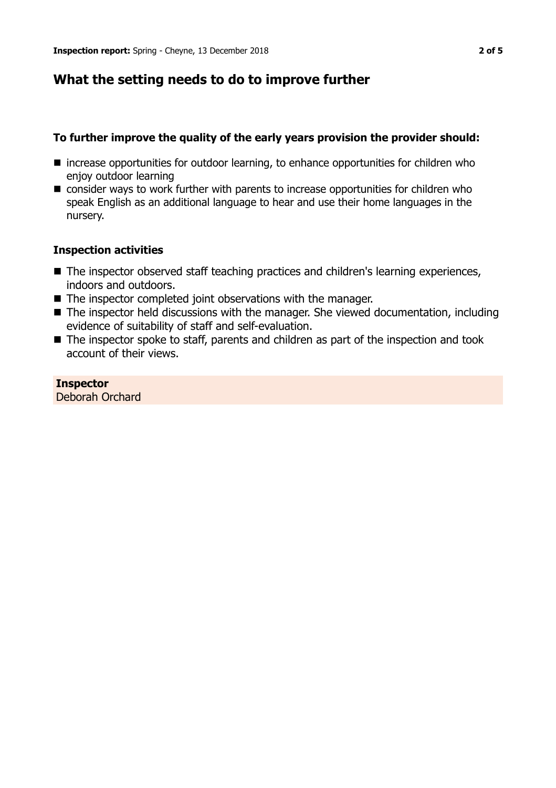## **What the setting needs to do to improve further**

## **To further improve the quality of the early years provision the provider should:**

- $\blacksquare$  increase opportunities for outdoor learning, to enhance opportunities for children who enjoy outdoor learning
- consider ways to work further with parents to increase opportunities for children who speak English as an additional language to hear and use their home languages in the nursery.

#### **Inspection activities**

- The inspector observed staff teaching practices and children's learning experiences, indoors and outdoors.
- $\blacksquare$  The inspector completed joint observations with the manager.
- $\blacksquare$  The inspector held discussions with the manager. She viewed documentation, including evidence of suitability of staff and self-evaluation.
- $\blacksquare$  The inspector spoke to staff, parents and children as part of the inspection and took account of their views.

#### **Inspector** Deborah Orchard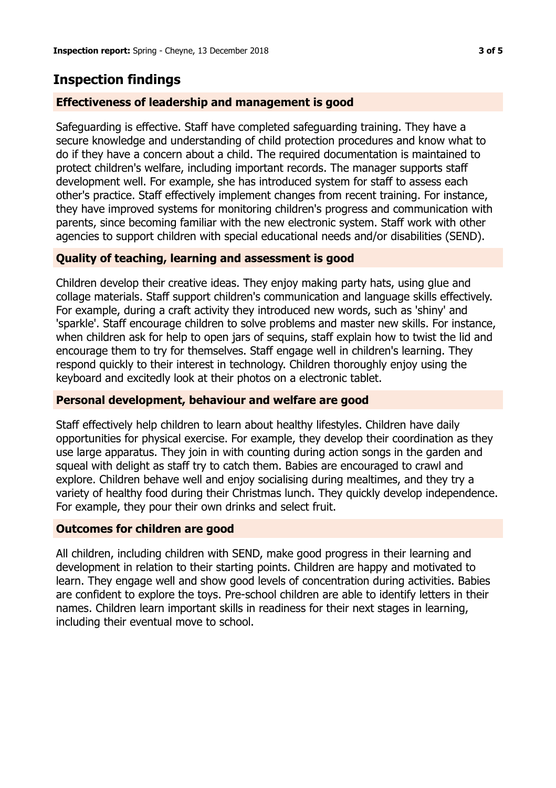## **Inspection findings**

## **Effectiveness of leadership and management is good**

Safeguarding is effective. Staff have completed safeguarding training. They have a secure knowledge and understanding of child protection procedures and know what to do if they have a concern about a child. The required documentation is maintained to protect children's welfare, including important records. The manager supports staff development well. For example, she has introduced system for staff to assess each other's practice. Staff effectively implement changes from recent training. For instance, they have improved systems for monitoring children's progress and communication with parents, since becoming familiar with the new electronic system. Staff work with other agencies to support children with special educational needs and/or disabilities (SEND).

## **Quality of teaching, learning and assessment is good**

Children develop their creative ideas. They enjoy making party hats, using glue and collage materials. Staff support children's communication and language skills effectively. For example, during a craft activity they introduced new words, such as 'shiny' and 'sparkle'. Staff encourage children to solve problems and master new skills. For instance, when children ask for help to open jars of sequins, staff explain how to twist the lid and encourage them to try for themselves. Staff engage well in children's learning. They respond quickly to their interest in technology. Children thoroughly enjoy using the keyboard and excitedly look at their photos on a electronic tablet.

## **Personal development, behaviour and welfare are good**

Staff effectively help children to learn about healthy lifestyles. Children have daily opportunities for physical exercise. For example, they develop their coordination as they use large apparatus. They join in with counting during action songs in the garden and squeal with delight as staff try to catch them. Babies are encouraged to crawl and explore. Children behave well and enjoy socialising during mealtimes, and they try a variety of healthy food during their Christmas lunch. They quickly develop independence. For example, they pour their own drinks and select fruit.

## **Outcomes for children are good**

All children, including children with SEND, make good progress in their learning and development in relation to their starting points. Children are happy and motivated to learn. They engage well and show good levels of concentration during activities. Babies are confident to explore the toys. Pre-school children are able to identify letters in their names. Children learn important skills in readiness for their next stages in learning, including their eventual move to school.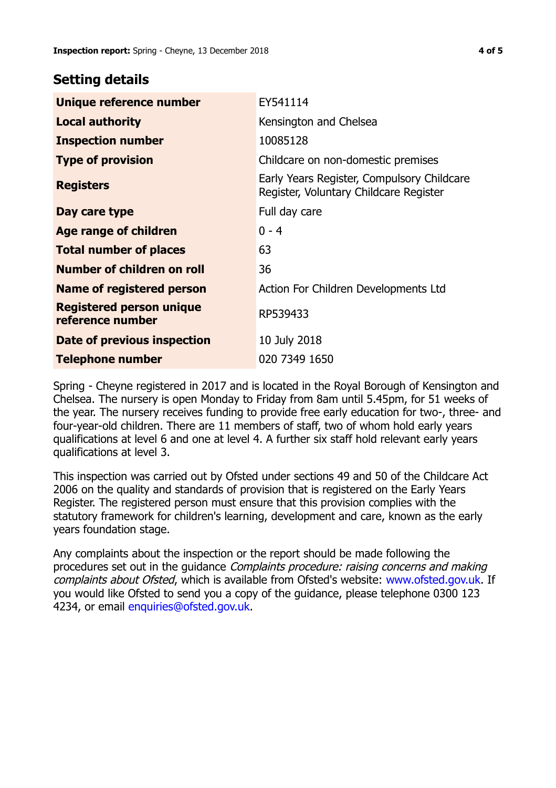## **Setting details**

| Unique reference number                             | EY541114                                                                             |  |
|-----------------------------------------------------|--------------------------------------------------------------------------------------|--|
| <b>Local authority</b>                              | Kensington and Chelsea                                                               |  |
| <b>Inspection number</b>                            | 10085128                                                                             |  |
| <b>Type of provision</b>                            | Childcare on non-domestic premises                                                   |  |
| <b>Registers</b>                                    | Early Years Register, Compulsory Childcare<br>Register, Voluntary Childcare Register |  |
| Day care type                                       | Full day care                                                                        |  |
| <b>Age range of children</b>                        | $0 - 4$                                                                              |  |
| <b>Total number of places</b>                       | 63                                                                                   |  |
| Number of children on roll                          | 36                                                                                   |  |
| Name of registered person                           | Action For Children Developments Ltd                                                 |  |
| <b>Registered person unique</b><br>reference number | RP539433                                                                             |  |
| Date of previous inspection                         | 10 July 2018                                                                         |  |
| <b>Telephone number</b>                             | 020 7349 1650                                                                        |  |

Spring - Cheyne registered in 2017 and is located in the Royal Borough of Kensington and Chelsea. The nursery is open Monday to Friday from 8am until 5.45pm, for 51 weeks of the year. The nursery receives funding to provide free early education for two-, three- and four-year-old children. There are 11 members of staff, two of whom hold early years qualifications at level 6 and one at level 4. A further six staff hold relevant early years qualifications at level 3.

This inspection was carried out by Ofsted under sections 49 and 50 of the Childcare Act 2006 on the quality and standards of provision that is registered on the Early Years Register. The registered person must ensure that this provision complies with the statutory framework for children's learning, development and care, known as the early years foundation stage.

Any complaints about the inspection or the report should be made following the procedures set out in the guidance Complaints procedure: raising concerns and making complaints about Ofsted, which is available from Ofsted's website: www.ofsted.gov.uk. If you would like Ofsted to send you a copy of the guidance, please telephone 0300 123 4234, or email [enquiries@ofsted.gov.uk.](mailto:enquiries@ofsted.gov.uk)